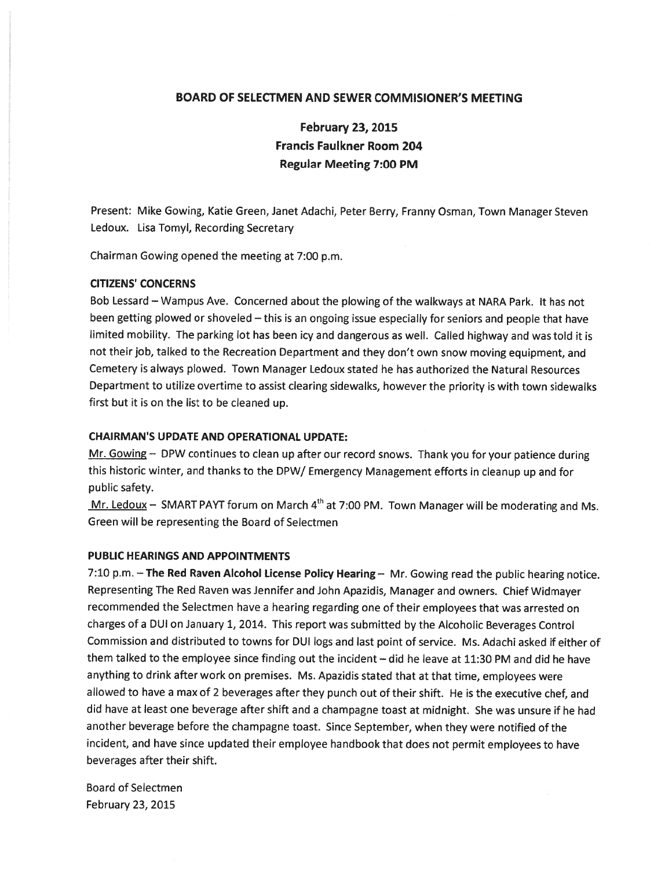## BOARD OF SELECTMEN AND SEWER COMMISIONER'S MEETING

February 23, 2015 Francis Faulkner Room 204 Regular Meeting 7:00 PM

Present: Mike Gowing, Katie Green, Janet Adachi, Peter Berry, Franny Osman, Town Manager Steven Ledoux. Lisa Tomyl, Recording Secretary

Chairman Gowing opened the meeting at 7:00 p.m.

#### CITIZENS' CONCERNS

Bob Lessard — Wampus Ave. Concerned about the <sup>p</sup>lowing of the walkways at NARA Park. It has not been getting <sup>p</sup>lowed or shoveled — this is an ongoing issue especially for seniors and people that have limited mobility. The parking lot has been icy and dangerous as well. Called highway and was told it is not their job, talked to the Recreation Department and they don't own snow moving equipment, and Cemetery is always plowed. Town Manager Ledoux stated he has authorized the Natural Resources Department to utilize overtime to assist clearing sidewalks, however the priority is with town sidewalks first but it is on the list to be cleaned up.

## CHAIRMAN'S UPDATE AND OPERATIONAL UPDATE:

Mr. Gowing - DPW continues to clean up after our record snows. Thank you for your patience during this historic winter, and thanks to the DPW/ Emergency Management efforts in cleanup up and for public safety.

Mr. Ledoux – SMART PAYT forum on March  $4<sup>th</sup>$  at 7:00 PM. Town Manager will be moderating and Ms. Green will be representing the Board of Selectmen

## PUBLIC HEARINGS AND APPOINTMENTS

7:10 p.m. - The Red Raven Alcohol License Policy Hearing - Mr. Gowing read the public hearing notice. Representing The Red Raven was Jennifer and John Apazidis, Manager and owners. Chief Widmayer recommended the Selectmen have <sup>a</sup> hearing regarding one of their employees that was arrested on charges of <sup>a</sup> DUI on January 1, 2014. This repor<sup>t</sup> was submitted by the Alcoholic Beverages Control Commission and distributed to towns for DUI logs and last point of service. Ms. Adachi asked if either of them talked to the employee since finding out the incident — did he leave at 11:30 PM and did he have anything to drink after work on premises. Ms. Apazidis stated that at that time, employees were allowed to have <sup>a</sup> max of <sup>2</sup> beverages after they punc<sup>h</sup> out of their shift. He is the executive chef, and did have at least one beverage after shift and <sup>a</sup> champagne toast at midnight. She was unsure if he had another beverage before the champagne toast. Since September, when they were notified of the incident, and have since updated their employee handbook that does not permit employees to have beverages after their shift.

Board of Selectmen February 23, 2015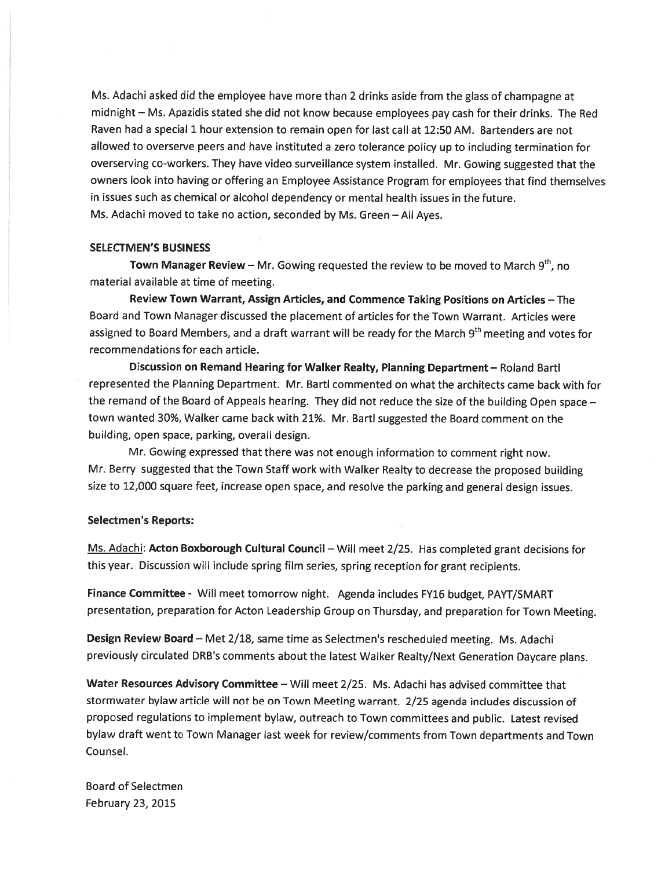Ms. Adachi asked did the employee have more than <sup>2</sup> drinks aside from the <sup>g</sup>lass of champagne at midnight — Ms. Apazidis stated she did not know because employees pay cash for their drinks. The Red Raven had <sup>a</sup> special 1 hour extension to remain open for last call at 12:50 AM. Bartenders are not allowed to overserve peers and have instituted <sup>a</sup> zero tolerance policy up to including termination for overserving co-workers. They have video surveillance system installed. Mr. Gowing suggested that the owners look into having or offering an Employee Assistance Program for employees that find themselves in issues such as chemical or alcohol dependency or mental health issues in the future. Ms. Adachi moved to take no action, seconded by Ms. Green — All Ayes.

# SELEcTMEN'S BUSINESS

Town Manager Review – Mr. Gowing requested the review to be moved to March  $9<sup>th</sup>$ , no material available at time of meeting.

Review Town Warrant, Assign Articles, and Commence Taking Positions on Articles — The Board and Town Manager discussed the placement of articles for the Town Warrant. Articles were assigned to Board Members, and a draft warrant will be ready for the March 9<sup>th</sup> meeting and votes for recommendations for each article.

Discussion on Remand Hearing for Walker Realty, Planning Department — Roland Bartl represented the Planning Department. Mr. Bartl commented on what the architects came back with for the emand of the Board of Appeals hearing. They did not reduce the size of the building Open space town wanted 30%, Walker came back with 21%. Mr. Bartl suggested the Board comment on the building, open space, parking, overall design.

Mr. Gowing expresse<sup>d</sup> that there was not enoug<sup>h</sup> information to comment right now. Mr. Berry suggested that the Town Staff work with Walker Realty to decrease the proposed building size to 12,000 square feet, increase open space, and resolve the parking and genera<sup>l</sup> design issues.

#### Selectmen's Reports:

Ms. Adachi: Acton Boxborough Cultural Council - Will meet 2/25. Has completed grant decisions for this year. Discussion will include spring film series, spring reception for gran<sup>t</sup> recipients.

Finance Committee - Will meet tomorrow night. Agenda includes FY16 budget, PAYT/SMART presentation, preparation for Acton Leadership Group on Thursday, and preparation for Town Meeting.

Design Review Board — Met 2/18, same time as Selectmen's rescheduled meeting. Ms. Adachi previously circulated DRB's comments about the latest Walker Realty/Next Generation Daycare plans.

Water Resources Advisory Committee - Will meet 2/25. Ms. Adachi has advised committee that stormwater bylaw article will not be on Town Meeting warrant. 2/25 agenda includes discussion of propose<sup>d</sup> regulations to implement bylaw, outreach to Town committees and public. Latest revised bylaw draft went to Town Manager last week for review/comments from Town departments and Town Counsel,

Board of Selectmen February 23, 2015